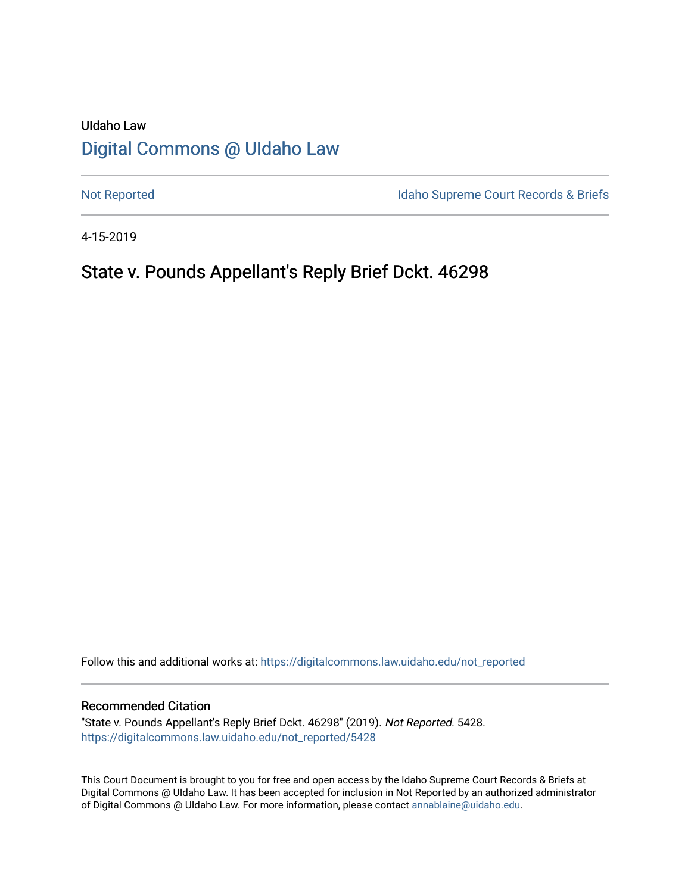# UIdaho Law [Digital Commons @ UIdaho Law](https://digitalcommons.law.uidaho.edu/)

[Not Reported](https://digitalcommons.law.uidaho.edu/not_reported) **Idaho Supreme Court Records & Briefs** 

4-15-2019

# State v. Pounds Appellant's Reply Brief Dckt. 46298

Follow this and additional works at: [https://digitalcommons.law.uidaho.edu/not\\_reported](https://digitalcommons.law.uidaho.edu/not_reported?utm_source=digitalcommons.law.uidaho.edu%2Fnot_reported%2F5428&utm_medium=PDF&utm_campaign=PDFCoverPages) 

#### Recommended Citation

"State v. Pounds Appellant's Reply Brief Dckt. 46298" (2019). Not Reported. 5428. [https://digitalcommons.law.uidaho.edu/not\\_reported/5428](https://digitalcommons.law.uidaho.edu/not_reported/5428?utm_source=digitalcommons.law.uidaho.edu%2Fnot_reported%2F5428&utm_medium=PDF&utm_campaign=PDFCoverPages)

This Court Document is brought to you for free and open access by the Idaho Supreme Court Records & Briefs at Digital Commons @ UIdaho Law. It has been accepted for inclusion in Not Reported by an authorized administrator of Digital Commons @ UIdaho Law. For more information, please contact [annablaine@uidaho.edu](mailto:annablaine@uidaho.edu).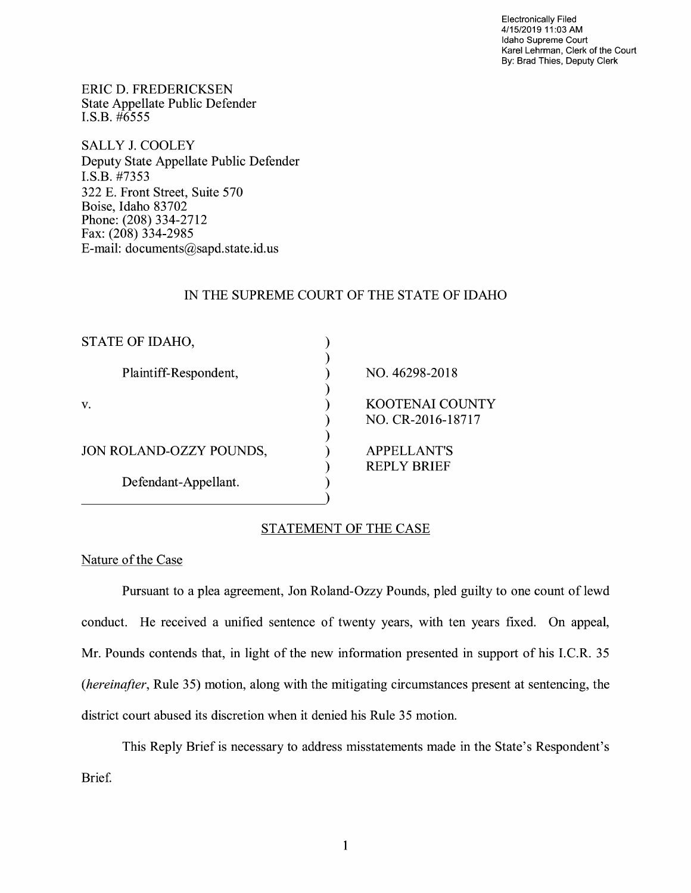Electronically Filed 4/15/2019 11 :03 AM Idaho Supreme Court Karel Lehrman, Clerk of the Court By: Brad Thies, Deputy Clerk

ERIC D. FREDERICKSEN State Appellate Public Defender I.S.B. #6555

SALLY J. COOLEY Deputy State Appellate Public Defender I.S.B. #7353 322 E. Front Street, Suite 570 Boise, Idaho 83702 Phone: (208) 334-2712 Fax: (208) 334-2985 E-mail: documents@sapd.state.id. us

### IN THE SUPREME COURT OF THE STATE OF IDAHO

| STATE OF IDAHO,         |                        |
|-------------------------|------------------------|
|                         |                        |
| Plaintiff-Respondent,   | NO. 46298-2018         |
|                         |                        |
| V.                      | <b>KOOTENAI COUNTY</b> |
|                         | NO. CR-2016-18717      |
|                         |                        |
| JON ROLAND-OZZY POUNDS, | <b>APPELLANT'S</b>     |
|                         | <b>REPLY BRIEF</b>     |
| Defendant-Appellant.    |                        |
|                         |                        |

## STATEMENT OF THE CASE

## Nature of the Case

Pursuant to a plea agreement, Jon Roland-Ozzy Pounds, pled guilty to one count of lewd conduct. He received a unified sentence of twenty years, with ten years fixed. On appeal, Mr. Pounds contends that, in light of the new information presented in support of his I.C.R. 35 *(hereinafter,* Rule 35) motion, along with the mitigating circumstances present at sentencing, the district court abused its discretion when it denied his Rule 35 motion.

This Reply Brief is necessary to address misstatements made in the State's Respondent's Brief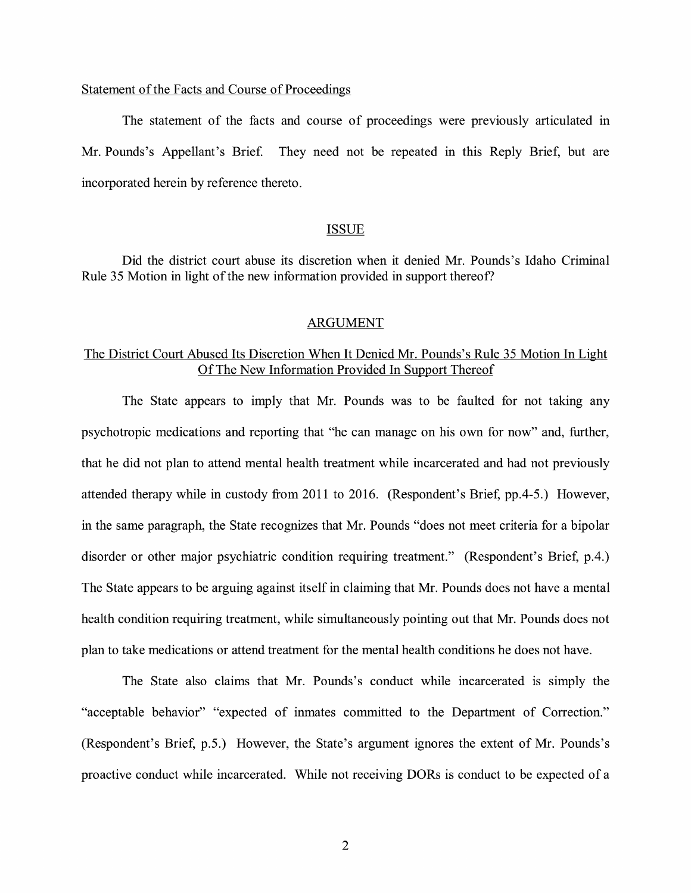# Statement of the Facts and Course of Proceedings

The statement of the facts and course of proceedings were previously articulated in Mr. Pounds's Appellant's Brie£ They need not be repeated m this Reply Brief, but are incorporated herein by reference thereto.

#### ISSUE

Did the district court abuse its discretion when it denied Mr. Pounds's Idaho Criminal Rule 35 Motion in light of the new information provided in support thereof?

### ARGUMENT

# The District Court Abused Its Discretion When It Denied Mr. Pounds's Rule 35 Motion In Light Of The New Information Provided In Support Thereof

The State appears to imply that Mr. Pounds was to be faulted for not taking any psychotropic medications and reporting that "he can manage on his own for now" and, further, that he did not plan to attend mental health treatment while incarcerated and had not previously attended therapy while in custody from 2011 to 2016. (Respondent's Brief, pp.4-5.) However, in the same paragraph, the State recognizes that Mr. Pounds "does not meet criteria for a bipolar disorder or other major psychiatric condition requiring treatment." (Respondent's Brief, p.4.) The State appears to be arguing against itself in claiming that Mr. Pounds does not have a mental health condition requiring treatment, while simultaneously pointing out that Mr. Pounds does not plan to take medications or attend treatment for the mental health conditions he does not have.

The State also claims that Mr. Pounds's conduct while incarcerated is simply the "acceptable behavior" "expected of inmates committed to the Department of Correction." (Respondent's Brief, p.5.) However, the State's argument ignores the extent of Mr. Pounds's proactive conduct while incarcerated. While not receiving DORs is conduct to be expected of a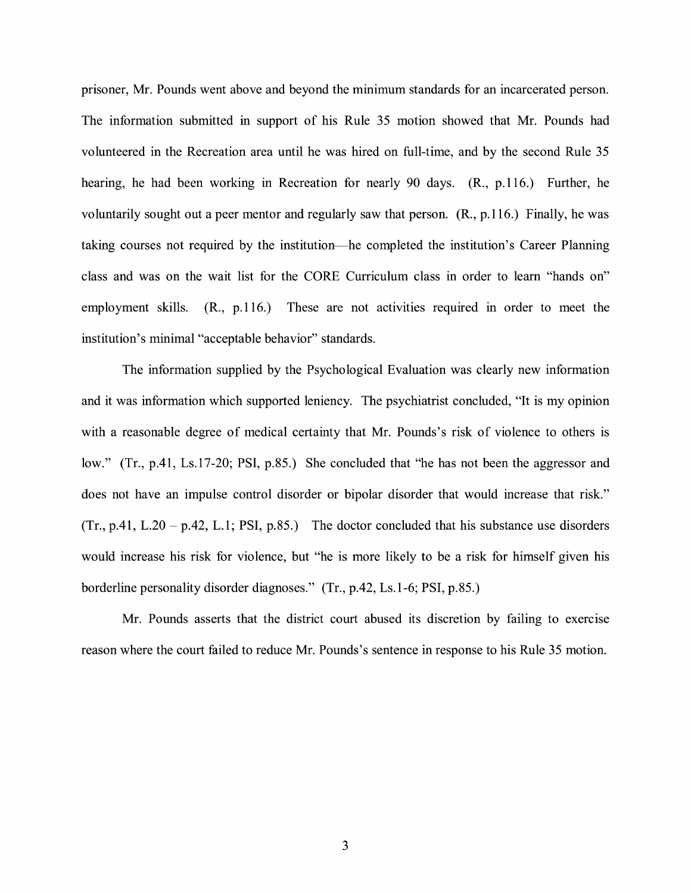prisoner, Mr. Pounds went above and beyond the minimum standards for an incarcerated person. The information submitted in support of his Rule 35 motion showed that Mr. Pounds had volunteered in the Recreation area until he was hired on full-time, and by the second Rule 35 hearing, he had been working in Recreation for nearly 90 days. **(R.,** p.116.) Further, he voluntarily sought out a peer mentor and regularly saw that person. (R., p.116.) Finally, he was taking courses not required by the institution-he completed the institution's Career Planning class and was on the wait list for the CORE Curriculum class in order to learn "hands on" employment skills. (R., p.116.) These are not activities required in order to meet the institution's minimal "acceptable behavior" standards.

The information supplied by the Psychological Evaluation was clearly new information and it was information which supported leniency. The psychiatrist concluded, "It is my opinion with a reasonable degree of medical certainty that Mr. Pounds's risk of violence to others is low." (Tr., p.41, Ls.17-20; PSI, p.85.) She concluded that "he has not been the aggressor and does not have an impulse control disorder or bipolar disorder that would increase that risk."  $(Tr, p.41, L.20 - p.42, L.1; PSI, p.85.)$  The doctor concluded that his substance use disorders would increase his risk for violence, but "he is more likely to be a risk for himself given his borderline personality disorder diagnoses." (Tr., p.42, Ls.1-6; PSI, p.85.)

Mr. Pounds asserts that the district court abused its discretion by failing to exercise reason where the court failed to reduce Mr. Pounds's sentence in response to his Rule 35 motion.